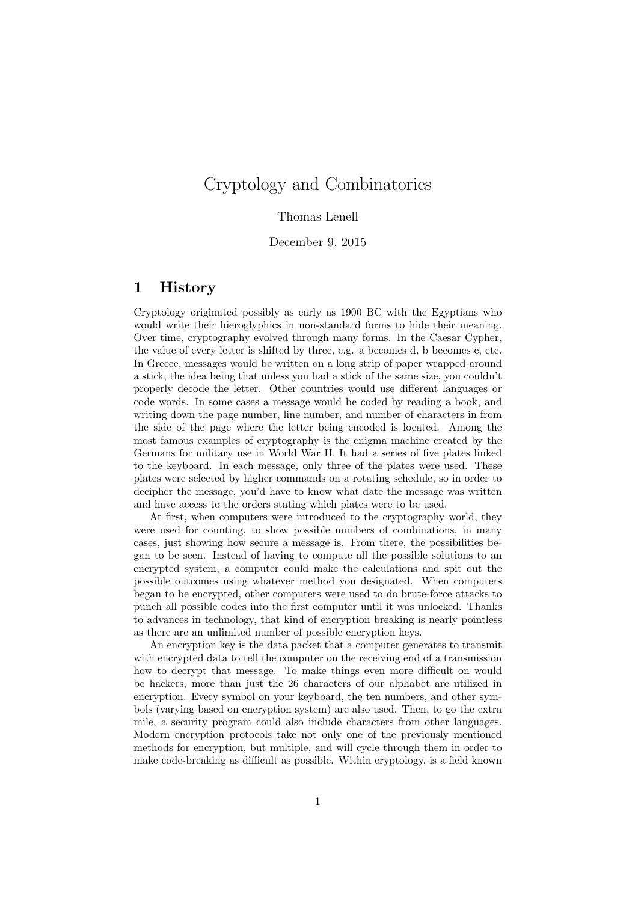# Cryptology and Combinatorics

#### Thomas Lenell

December 9, 2015

### 1 History

Cryptology originated possibly as early as 1900 BC with the Egyptians who would write their hieroglyphics in non-standard forms to hide their meaning. Over time, cryptography evolved through many forms. In the Caesar Cypher, the value of every letter is shifted by three, e.g. a becomes d, b becomes e, etc. In Greece, messages would be written on a long strip of paper wrapped around a stick, the idea being that unless you had a stick of the same size, you couldn't properly decode the letter. Other countries would use different languages or code words. In some cases a message would be coded by reading a book, and writing down the page number, line number, and number of characters in from the side of the page where the letter being encoded is located. Among the most famous examples of cryptography is the enigma machine created by the Germans for military use in World War II. It had a series of five plates linked to the keyboard. In each message, only three of the plates were used. These plates were selected by higher commands on a rotating schedule, so in order to decipher the message, you'd have to know what date the message was written and have access to the orders stating which plates were to be used.

At first, when computers were introduced to the cryptography world, they were used for counting, to show possible numbers of combinations, in many cases, just showing how secure a message is. From there, the possibilities began to be seen. Instead of having to compute all the possible solutions to an encrypted system, a computer could make the calculations and spit out the possible outcomes using whatever method you designated. When computers began to be encrypted, other computers were used to do brute-force attacks to punch all possible codes into the first computer until it was unlocked. Thanks to advances in technology, that kind of encryption breaking is nearly pointless as there are an unlimited number of possible encryption keys.

An encryption key is the data packet that a computer generates to transmit with encrypted data to tell the computer on the receiving end of a transmission how to decrypt that message. To make things even more difficult on would be hackers, more than just the 26 characters of our alphabet are utilized in encryption. Every symbol on your keyboard, the ten numbers, and other symbols (varying based on encryption system) are also used. Then, to go the extra mile, a security program could also include characters from other languages. Modern encryption protocols take not only one of the previously mentioned methods for encryption, but multiple, and will cycle through them in order to make code-breaking as difficult as possible. Within cryptology, is a field known